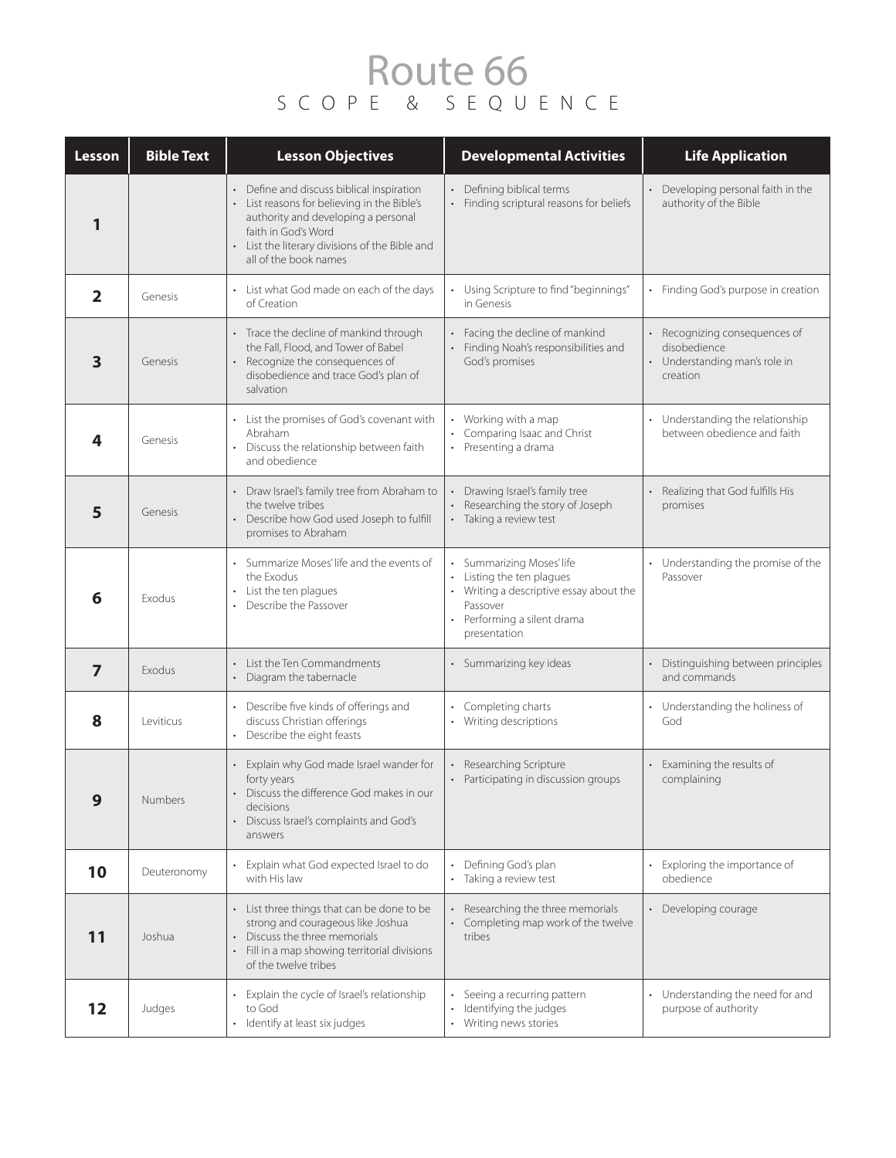## Route 66 SCOPE & SEQUENCE

| Lesson         | <b>Bible Text</b> | <b>Lesson Objectives</b>                                                                                                                                                                                                          | <b>Developmental Activities</b>                                                                                                                            | <b>Life Application</b>                                                                    |
|----------------|-------------------|-----------------------------------------------------------------------------------------------------------------------------------------------------------------------------------------------------------------------------------|------------------------------------------------------------------------------------------------------------------------------------------------------------|--------------------------------------------------------------------------------------------|
| 1              |                   | • Define and discuss biblical inspiration<br>• List reasons for believing in the Bible's<br>authority and developing a personal<br>faith in God's Word<br>• List the literary divisions of the Bible and<br>all of the book names | • Defining biblical terms<br>• Finding scriptural reasons for beliefs                                                                                      | Developing personal faith in the<br>authority of the Bible                                 |
| $\overline{2}$ | Genesis           | • List what God made on each of the days<br>of Creation                                                                                                                                                                           | • Using Scripture to find "beginnings"<br>in Genesis                                                                                                       | Finding God's purpose in creation                                                          |
| 3              | Genesis           | • Trace the decline of mankind through<br>the Fall, Flood, and Tower of Babel<br>• Recognize the consequences of<br>disobedience and trace God's plan of<br>salvation                                                             | • Facing the decline of mankind<br>Finding Noah's responsibilities and<br>God's promises                                                                   | • Recognizing consequences of<br>disobedience<br>• Understanding man's role in<br>creation |
| 4              | Genesis           | • List the promises of God's covenant with<br>Abraham<br>Discuss the relationship between faith<br>and obedience                                                                                                                  | Working with a map<br>Comparing Isaac and Christ<br>• Presenting a drama                                                                                   | Understanding the relationship<br>between obedience and faith                              |
| 5              | Genesis           | • Draw Israel's family tree from Abraham to<br>the twelve tribes<br>• Describe how God used Joseph to fulfill<br>promises to Abraham                                                                                              | Drawing Israel's family tree<br>Researching the story of Joseph<br>• Taking a review test                                                                  | Realizing that God fulfills His<br>promises                                                |
| 6              | Exodus            | • Summarize Moses' life and the events of<br>the Exodus<br>• List the ten plagues<br>• Describe the Passover                                                                                                                      | • Summarizing Moses' life<br>• Listing the ten plagues<br>• Writing a descriptive essay about the<br>Passover<br>Performing a silent drama<br>presentation | Understanding the promise of the<br>$\bullet$<br>Passover                                  |
| $\overline{ }$ | Exodus            | List the Ten Commandments<br>• Diagram the tabernacle                                                                                                                                                                             | • Summarizing key ideas                                                                                                                                    | Distinguishing between principles<br>and commands                                          |
| 8              | Leviticus         | Describe five kinds of offerings and<br>discuss Christian offerings<br>• Describe the eight feasts                                                                                                                                | Completing charts<br>• Writing descriptions                                                                                                                | Understanding the holiness of<br>God                                                       |
| 9              | Numbers           | • Explain why God made Israel wander for<br>forty years<br>• Discuss the difference God makes in our<br>decisions<br>Discuss Israel's complaints and God's<br>answers                                                             | • Researching Scripture<br>• Participating in discussion groups                                                                                            | Examining the results of<br>complaining                                                    |
| 10             | Deuteronomy       | Explain what God expected Israel to do<br>with His law                                                                                                                                                                            | Defining God's plan<br>• Taking a review test                                                                                                              | Exploring the importance of<br>obedience                                                   |
| 11             | Joshua            | List three things that can be done to be<br>strong and courageous like Joshua<br>Discuss the three memorials<br>• Fill in a map showing territorial divisions<br>of the twelve tribes                                             | Researching the three memorials<br>• Completing map work of the twelve<br>tribes                                                                           | Developing courage                                                                         |
| 12             | Judges            | Explain the cycle of Israel's relationship<br>to God<br>Identify at least six judges                                                                                                                                              | Seeing a recurring pattern<br>Identifying the judges<br>Writing news stories                                                                               | Understanding the need for and<br>purpose of authority                                     |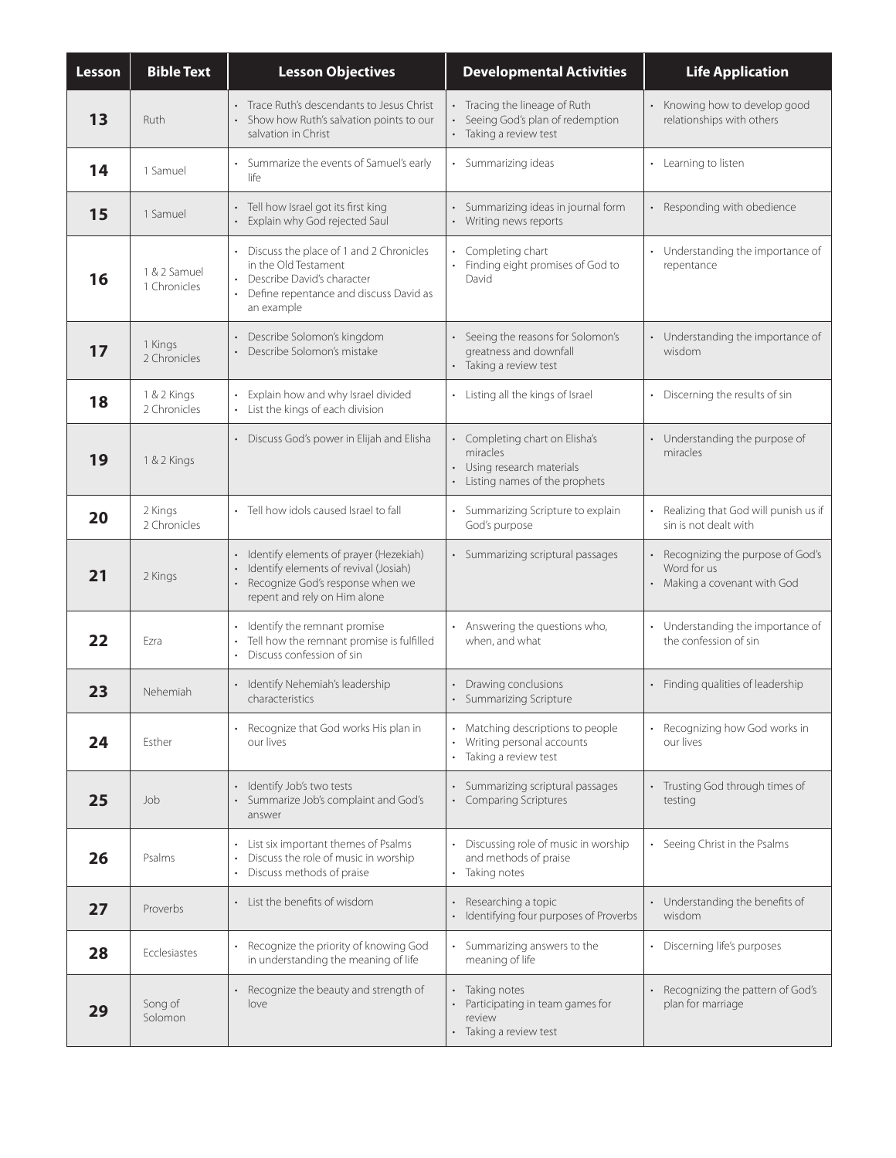| Lesson | <b>Bible Text</b>            | <b>Lesson Objectives</b>                                                                                                                                                                                | <b>Developmental Activities</b>                                                                           | <b>Life Application</b>                                                         |
|--------|------------------------------|---------------------------------------------------------------------------------------------------------------------------------------------------------------------------------------------------------|-----------------------------------------------------------------------------------------------------------|---------------------------------------------------------------------------------|
| 13     | Ruth                         | Trace Ruth's descendants to Jesus Christ<br>Show how Ruth's salvation points to our<br>salvation in Christ                                                                                              | Tracing the lineage of Ruth<br>Seeing God's plan of redemption<br>• Taking a review test                  | Knowing how to develop good<br>relationships with others                        |
| 14     | 1 Samuel                     | Summarize the events of Samuel's early<br>life                                                                                                                                                          | Summarizing ideas                                                                                         | • Learning to listen                                                            |
| 15     | 1 Samuel                     | • Tell how Israel got its first king<br>Explain why God rejected Saul                                                                                                                                   | Summarizing ideas in journal form<br>• Writing news reports                                               | Responding with obedience                                                       |
| 16     | 1 & 2 Samuel<br>1 Chronicles | Discuss the place of 1 and 2 Chronicles<br>$\ddot{\phantom{0}}$<br>in the Old Testament<br>Describe David's character<br>$\bullet$<br>Define repentance and discuss David as<br>$\bullet$<br>an example | Completing chart<br>Finding eight promises of God to<br>David                                             | Understanding the importance of<br>repentance                                   |
| 17     | 1 Kings<br>2 Chronicles      | Describe Solomon's kingdom<br>Describe Solomon's mistake                                                                                                                                                | • Seeing the reasons for Solomon's<br>greatness and downfall<br>• Taking a review test                    | • Understanding the importance of<br>wisdom                                     |
| 18     | 1 & 2 Kings<br>2 Chronicles  | Explain how and why Israel divided<br>$\ddot{\phantom{0}}$<br>• List the kings of each division                                                                                                         | • Listing all the kings of Israel                                                                         | Discerning the results of sin                                                   |
| 19     | 1 & 2 Kings                  | • Discuss God's power in Elijah and Elisha                                                                                                                                                              | • Completing chart on Elisha's<br>miracles<br>• Using research materials<br>Listing names of the prophets | Understanding the purpose of<br>miracles                                        |
| 20     | 2 Kings<br>2 Chronicles      | · Tell how idols caused Israel to fall                                                                                                                                                                  | • Summarizing Scripture to explain<br>God's purpose                                                       | Realizing that God will punish us if<br>sin is not dealt with                   |
| 21     | 2 Kings                      | • Identify elements of prayer (Hezekiah)<br>Identify elements of revival (Josiah)<br>• Recognize God's response when we<br>repent and rely on Him alone                                                 | • Summarizing scriptural passages                                                                         | Recognizing the purpose of God's<br>Word for us<br>• Making a covenant with God |
| 22     | Ezra                         | Identify the remnant promise<br>$\bullet$<br>Tell how the remnant promise is fulfilled<br>$\bullet$<br>Discuss confession of sin<br>$\bullet$                                                           | • Answering the questions who,<br>when, and what                                                          | • Understanding the importance of<br>the confession of sin                      |
| 23     | Nehemiah                     | · Identify Nehemiah's leadership<br>characteristics                                                                                                                                                     | Drawing conclusions<br>Summarizing Scripture                                                              | Finding qualities of leadership                                                 |
| 24     | Esther                       | • Recognize that God works His plan in<br>our lives                                                                                                                                                     | Matching descriptions to people<br>$\bullet$<br>Writing personal accounts<br>• Taking a review test       | Recognizing how God works in<br>our lives                                       |
| 25     | Job                          | Identify Job's two tests<br>· Summarize Job's complaint and God's<br>answer                                                                                                                             | Summarizing scriptural passages<br>Comparing Scriptures                                                   | Trusting God through times of<br>testing                                        |
| 26     | Psalms                       | List six important themes of Psalms<br>Discuss the role of music in worship<br>Discuss methods of praise<br>$\bullet$                                                                                   | Discussing role of music in worship<br>and methods of praise<br>• Taking notes                            | • Seeing Christ in the Psalms                                                   |
| 27     | Proverbs                     | • List the benefits of wisdom                                                                                                                                                                           | Researching a topic<br>• Identifying four purposes of Proverbs                                            | Understanding the benefits of<br>wisdom                                         |
| 28     | Ecclesiastes                 | Recognize the priority of knowing God<br>in understanding the meaning of life                                                                                                                           | Summarizing answers to the<br>meaning of life                                                             | • Discerning life's purposes                                                    |
| 29     | Song of<br>Solomon           | Recognize the beauty and strength of<br>love                                                                                                                                                            | Taking notes<br>Participating in team games for<br>$\bullet$<br>review<br>• Taking a review test          | Recognizing the pattern of God's<br>plan for marriage                           |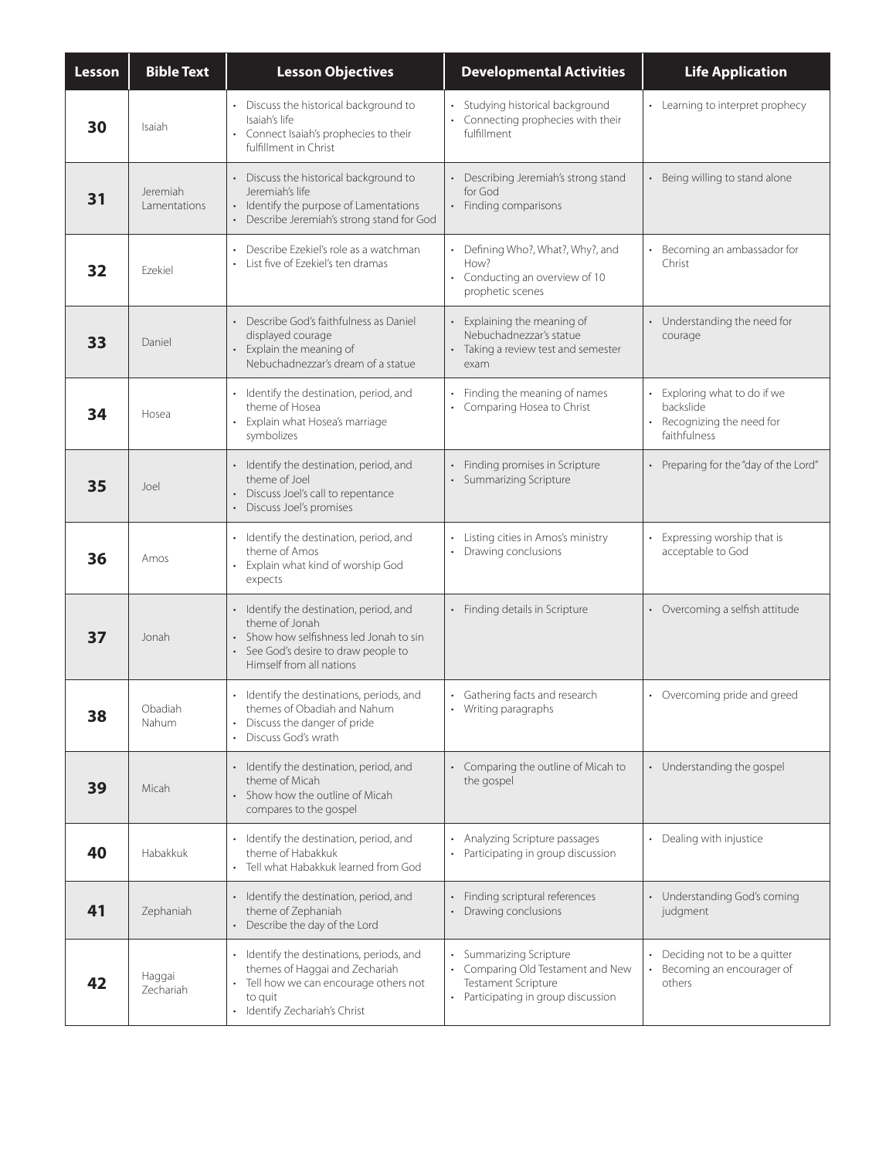| Lesson | <b>Bible Text</b>        | <b>Lesson Objectives</b>                                                                                                                                                            | <b>Developmental Activities</b>                                                                                               | <b>Life Application</b>                                                             |
|--------|--------------------------|-------------------------------------------------------------------------------------------------------------------------------------------------------------------------------------|-------------------------------------------------------------------------------------------------------------------------------|-------------------------------------------------------------------------------------|
| 30     | Isaiah                   | • Discuss the historical background to<br>Isaiah's life<br>• Connect Isaiah's prophecies to their<br>fulfillment in Christ                                                          | · Studying historical background<br>• Connecting prophecies with their<br>fulfillment                                         | • Learning to interpret prophecy                                                    |
| 31     | Jeremiah<br>Lamentations | • Discuss the historical background to<br>Jeremiah's life<br>• Identify the purpose of Lamentations<br>• Describe Jeremiah's strong stand for God                                   | Describing Jeremiah's strong stand<br>for God<br>• Finding comparisons                                                        | Being willing to stand alone                                                        |
| 32     | Ezekiel                  | • Describe Ezekiel's role as a watchman<br>• List five of Ezekiel's ten dramas                                                                                                      | • Defining Who?, What?, Why?, and<br>How?<br>• Conducting an overview of 10<br>prophetic scenes                               | Becoming an ambassador for<br>Christ                                                |
| 33     | Daniel                   | • Describe God's faithfulness as Daniel<br>displayed courage<br>Explain the meaning of<br>Nebuchadnezzar's dream of a statue                                                        | Explaining the meaning of<br>Nebuchadnezzar's statue<br>• Taking a review test and semester<br>exam                           | • Understanding the need for<br>courage                                             |
| 34     | Hosea                    | • Identify the destination, period, and<br>theme of Hosea<br>• Explain what Hosea's marriage<br>symbolizes                                                                          | Finding the meaning of names<br>• Comparing Hosea to Christ                                                                   | Exploring what to do if we<br>backslide<br>Recognizing the need for<br>faithfulness |
| 35     | Joel                     | • Identify the destination, period, and<br>theme of Joel<br>• Discuss Joel's call to repentance<br>Discuss Joel's promises                                                          | • Finding promises in Scripture<br>• Summarizing Scripture                                                                    | • Preparing for the "day of the Lord"                                               |
| 36     | Amos                     | · Identify the destination, period, and<br>theme of Amos<br>• Explain what kind of worship God<br>expects                                                                           | Listing cities in Amos's ministry<br>Drawing conclusions                                                                      | Expressing worship that is<br>acceptable to God                                     |
| 37     | Jonah                    | · Identify the destination, period, and<br>theme of Jonah<br>Show how selfishness led Jonah to sin<br>$\bullet$<br>• See God's desire to draw people to<br>Himself from all nations | • Finding details in Scripture                                                                                                | • Overcoming a selfish attitude                                                     |
| 38     | Obadiah<br>Nahum         | · Identify the destinations, periods, and<br>themes of Obadiah and Nahum<br>Discuss the danger of pride<br>$\bullet$<br>• Discuss God's wrath                                       | • Gathering facts and research<br>• Writing paragraphs                                                                        | • Overcoming pride and greed                                                        |
| 39     | Micah                    | · Identify the destination, period, and<br>theme of Micah<br>Show how the outline of Micah<br>$\bullet$<br>compares to the gospel                                                   | • Comparing the outline of Micah to<br>the gospel                                                                             | • Understanding the gospel                                                          |
| 40     | Habakkuk                 | · Identify the destination, period, and<br>theme of Habakkuk<br>Tell what Habakkuk learned from God<br>$\bullet$                                                                    | Analyzing Scripture passages<br>Participating in group discussion<br>$\bullet$                                                | Dealing with injustice                                                              |
| 41     | Zephaniah                | · Identify the destination, period, and<br>theme of Zephaniah<br>• Describe the day of the Lord                                                                                     | • Finding scriptural references<br>Drawing conclusions                                                                        | • Understanding God's coming<br>judgment                                            |
| 42     | Haggai<br>Zechariah      | · Identify the destinations, periods, and<br>themes of Haggai and Zechariah<br>Tell how we can encourage others not<br>$\bullet$<br>to quit<br>• Identify Zechariah's Christ        | Summarizing Scripture<br>• Comparing Old Testament and New<br><b>Testament Scripture</b><br>Participating in group discussion | Deciding not to be a quitter<br>Becoming an encourager of<br>others                 |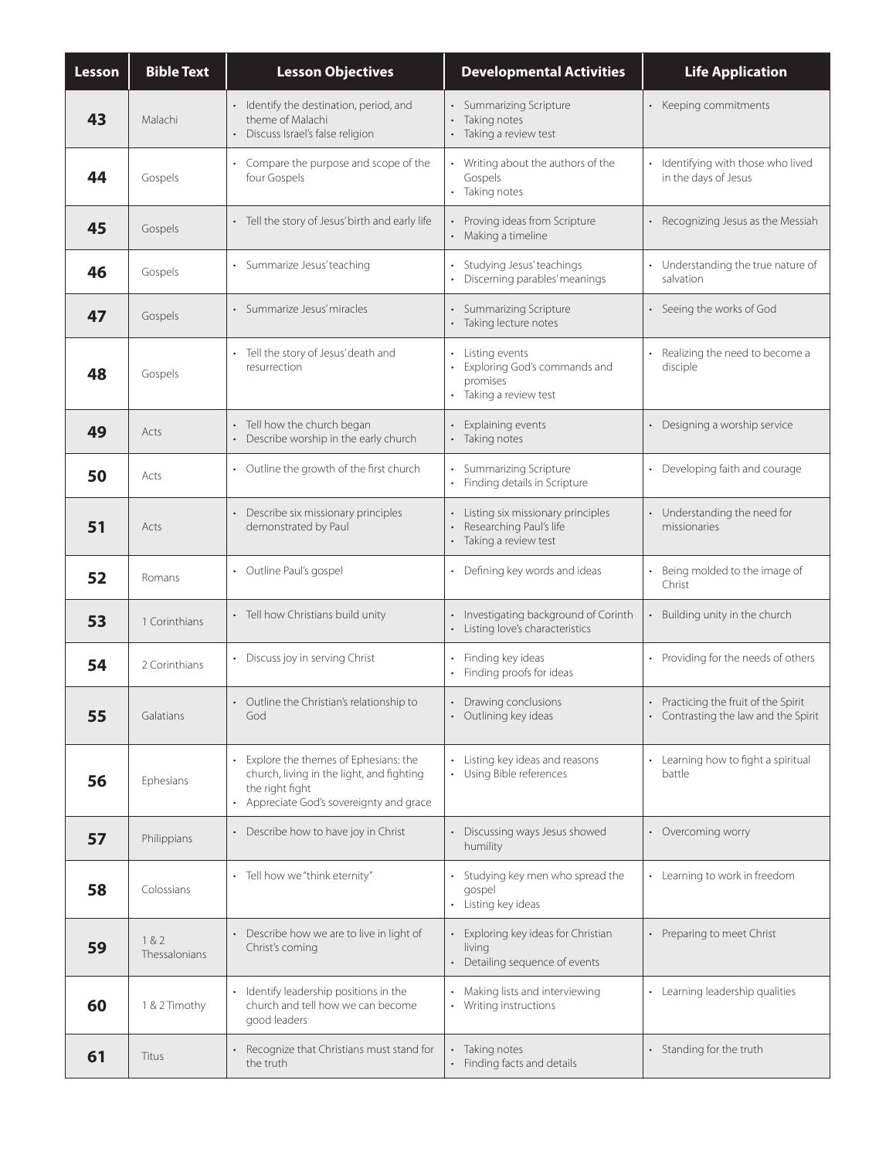| <b>Lesson</b> | <b>Bible Text</b>      | <b>Lesson Objectives</b>                                                                                                                                                            | <b>Developmental Activities</b>                                                          | <b>Life Application</b>                                                      |
|---------------|------------------------|-------------------------------------------------------------------------------------------------------------------------------------------------------------------------------------|------------------------------------------------------------------------------------------|------------------------------------------------------------------------------|
| 43            | Malachi                | · Identify the destination, period, and<br>theme of Malachi<br>• Discuss Israel's false religion                                                                                    | • Summarizing Scripture<br>• Taking notes<br>• Taking a review test                      | Keeping commitments                                                          |
| 44            | Gospels                | • Compare the purpose and scope of the<br>four Gospels                                                                                                                              | • Writing about the authors of the<br>Gospels<br>• Taking notes                          | Identifying with those who lived<br>in the days of Jesus                     |
| 45            | Gospels                | • Tell the story of Jesus' birth and early life                                                                                                                                     | • Proving ideas from Scripture<br>• Making a timeline                                    | • Recognizing Jesus as the Messiah                                           |
| 46            | Gospels                | • Summarize Jesus' teaching                                                                                                                                                         | • Studying Jesus' teachings<br>Discerning parables' meanings                             | • Understanding the true nature of<br>salvation                              |
| 47            | Gospels                | · Summarize Jesus' miracles                                                                                                                                                         | • Summarizing Scripture<br>· Taking lecture notes                                        | Seeing the works of God                                                      |
| 48            | Gospels                | • Tell the story of Jesus' death and<br>resurrection                                                                                                                                | • Listing events<br>Exploring God's commands and<br>promises<br>• Taking a review test   | Realizing the need to become a<br>disciple                                   |
| 49            | Acts                   | • Tell how the church began<br>• Describe worship in the early church                                                                                                               | Explaining events<br>· Taking notes                                                      | Designing a worship service                                                  |
| 50            | Acts                   | • Outline the growth of the first church                                                                                                                                            | • Summarizing Scripture<br>• Finding details in Scripture                                | Developing faith and courage                                                 |
| 51            | Acts                   | • Describe six missionary principles<br>demonstrated by Paul                                                                                                                        | • Listing six missionary principles<br>Researching Paul's life<br>• Taking a review test | • Understanding the need for<br>missionaries                                 |
| 52            | Romans                 | • Outline Paul's gospel                                                                                                                                                             | • Defining key words and ideas                                                           | Being molded to the image of<br>Christ                                       |
| 53            | 1 Corinthians          | • Tell how Christians build unity                                                                                                                                                   | • Investigating background of Corinth<br>Listing love's characteristics                  | Building unity in the church                                                 |
| 54            | 2 Corinthians          | • Discuss joy in serving Christ                                                                                                                                                     | Finding key ideas<br>$\bullet$<br>Finding proofs for ideas                               | Providing for the needs of others                                            |
| 55            | Galatians              | • Outline the Christian's relationship to<br>God                                                                                                                                    | • Drawing conclusions<br>• Outlining key ideas                                           | • Practicing the fruit of the Spirit<br>• Contrasting the law and the Spirit |
| 56            | Ephesians              | Explore the themes of Ephesians: the<br>$\ddot{\phantom{0}}$<br>church, living in the light, and fighting<br>the right fight<br>Appreciate God's sovereignty and grace<br>$\bullet$ | Listing key ideas and reasons<br>• Using Bible references                                | Learning how to fight a spiritual<br>battle                                  |
| 57            | Philippians            | • Describe how to have joy in Christ                                                                                                                                                | • Discussing ways Jesus showed<br>humility                                               | Overcoming worry                                                             |
| 58            | Colossians             | • Tell how we "think eternity"                                                                                                                                                      | Studying key men who spread the<br>gospel<br>• Listing key ideas                         | • Learning to work in freedom                                                |
| 59            | 1 & 2<br>Thessalonians | • Describe how we are to live in light of<br>Christ's coming                                                                                                                        | • Exploring key ideas for Christian<br>living<br>Detailing sequence of events            | • Preparing to meet Christ                                                   |
| 60            | 1 & 2 Timothy          | • Identify leadership positions in the<br>church and tell how we can become<br>good leaders                                                                                         | • Making lists and interviewing<br>Writing instructions<br>$\bullet$                     | • Learning leadership qualities                                              |
| 61            | Titus                  | Recognize that Christians must stand for<br>the truth                                                                                                                               | Taking notes<br>Finding facts and details<br>$\bullet$                                   | Standing for the truth                                                       |